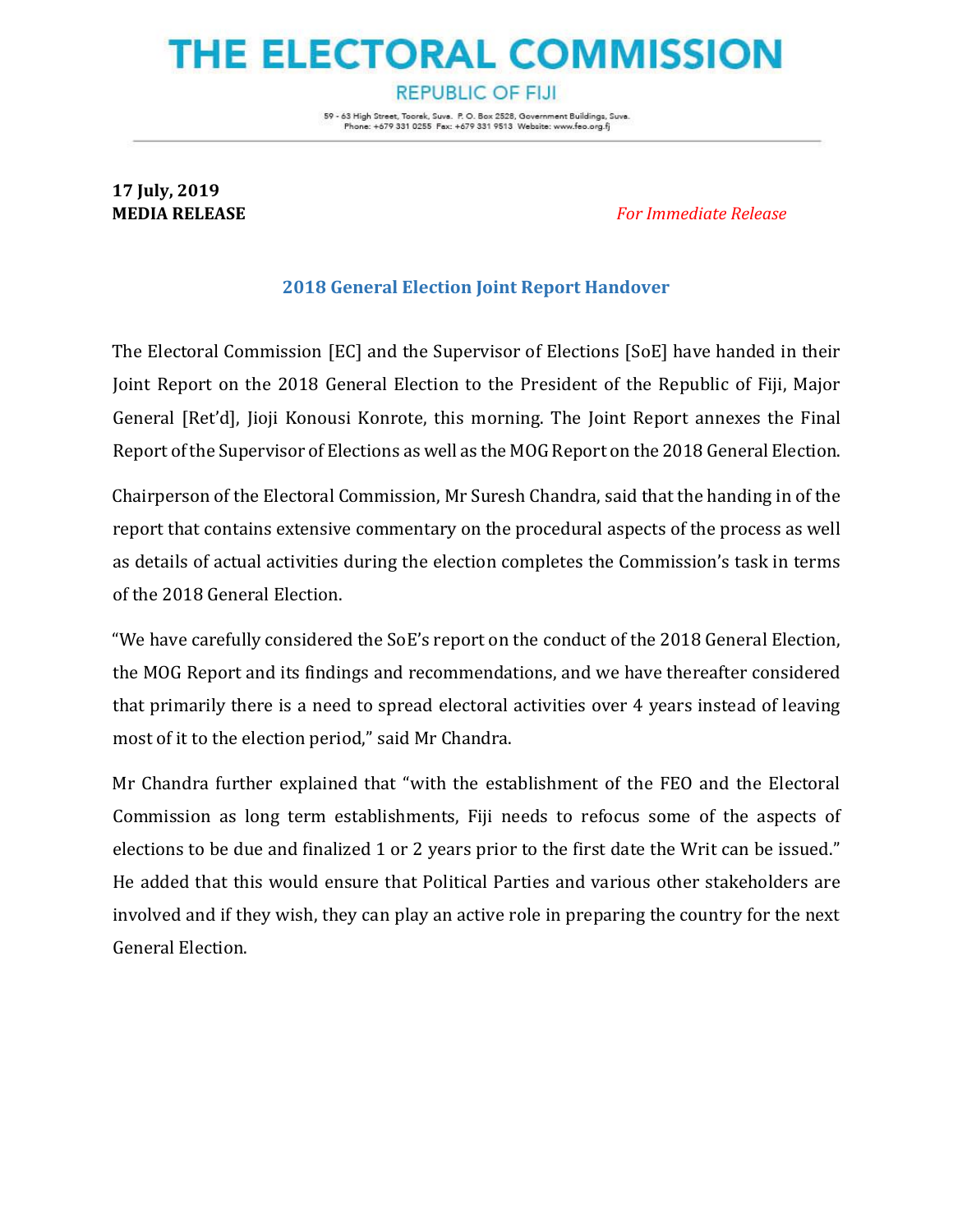## THE ELECTORAL COMMISSION

**REPUBLIC OF FIJI** 

59 - 63 High Street, Toorek, Suve. P. O. Box 2528, Government Buildings, Suve. Phone: +679 331 0255 Fax: +679 331 9513 Website: www.feo.org.fj

## **17 July, 2019**

**MEDIA RELEASE** *For Immediate Release* 

## **2018 General Election Joint Report Handover**

The Electoral Commission [EC] and the Supervisor of Elections [SoE] have handed in their Joint Report on the 2018 General Election to the President of the Republic of Fiji, Major General [Ret'd], Jioji Konousi Konrote, this morning. The Joint Report annexes the Final Report of the Supervisor of Elections as well as the MOG Report on the 2018 General Election.

Chairperson of the Electoral Commission, Mr Suresh Chandra, said that the handing in of the report that contains extensive commentary on the procedural aspects of the process as well as details of actual activities during the election completes the Commission's task in terms of the 2018 General Election.

"We have carefully considered the SoE's report on the conduct of the 2018 General Election, the MOG Report and its findings and recommendations, and we have thereafter considered that primarily there is a need to spread electoral activities over 4 years instead of leaving most of it to the election period," said Mr Chandra.

Mr Chandra further explained that "with the establishment of the FEO and the Electoral Commission as long term establishments, Fiji needs to refocus some of the aspects of elections to be due and finalized 1 or 2 years prior to the first date the Writ can be issued." He added that this would ensure that Political Parties and various other stakeholders are involved and if they wish, they can play an active role in preparing the country for the next General Election.